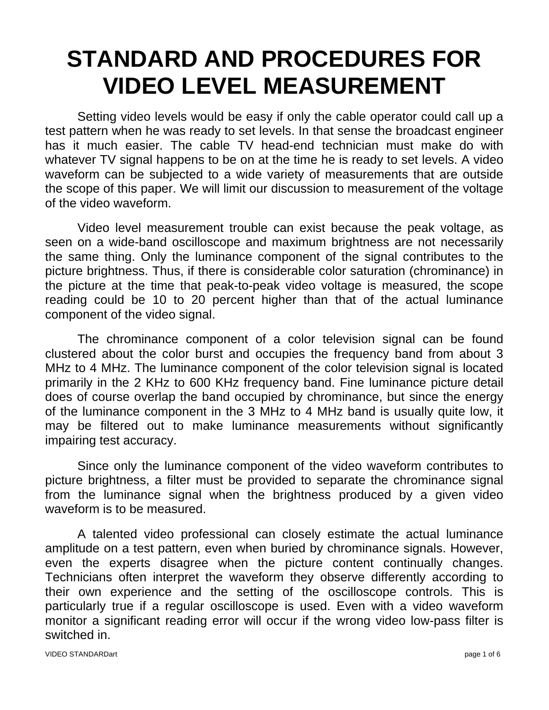# **STANDARD AND PROCEDURES FOR VIDEO LEVEL MEASUREMENT**

Setting video levels would be easy if only the cable operator could call up a test pattern when he was ready to set levels. In that sense the broadcast engineer has it much easier. The cable TV head-end technician must make do with whatever TV signal happens to be on at the time he is ready to set levels. A video waveform can be subjected to a wide variety of measurements that are outside the scope of this paper. We will limit our discussion to measurement of the voltage of the video waveform.

Video level measurement trouble can exist because the peak voltage, as seen on a wide-band oscilloscope and maximum brightness are not necessarily the same thing. Only the luminance component of the signal contributes to the picture brightness. Thus, if there is considerable color saturation (chrominance) in the picture at the time that peak-to-peak video voltage is measured, the scope reading could be 10 to 20 percent higher than that of the actual luminance component of the video signal.

 The chrominance component of a color television signal can be found clustered about the color burst and occupies the frequency band from about 3 MHz to 4 MHz. The luminance component of the color television signal is located primarily in the 2 KHz to 600 KHz frequency band. Fine luminance picture detail does of course overlap the band occupied by chrominance, but since the energy of the luminance component in the 3 MHz to 4 MHz band is usually quite low, it may be filtered out to make luminance measurements without significantly impairing test accuracy.

 Since only the luminance component of the video waveform contributes to picture brightness, a filter must be provided to separate the chrominance signal from the luminance signal when the brightness produced by a given video waveform is to be measured.

 A talented video professional can closely estimate the actual luminance amplitude on a test pattern, even when buried by chrominance signals. However, even the experts disagree when the picture content continually changes. Technicians often interpret the waveform they observe differently according to their own experience and the setting of the oscilloscope controls. This is particularly true if a regular oscilloscope is used. Even with a video waveform monitor a significant reading error will occur if the wrong video low-pass filter is switched in.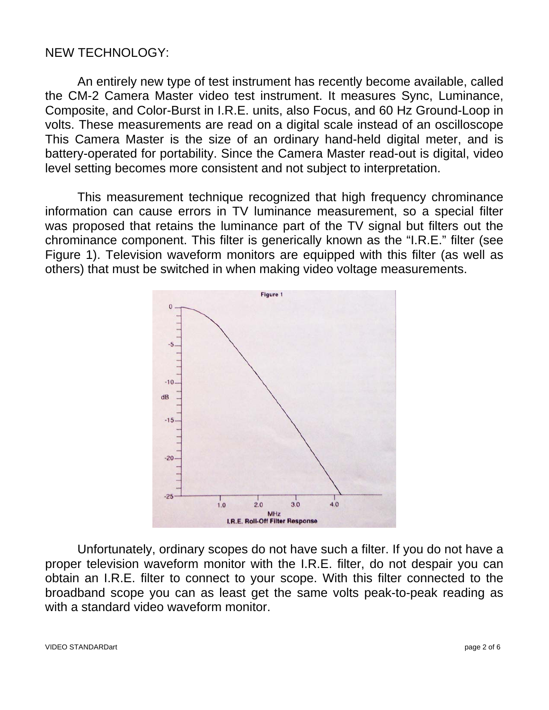# NEW TECHNOLOGY:

An entirely new type of test instrument has recently become available, called the CM-2 Camera Master video test instrument. It measures Sync, Luminance, Composite, and Color-Burst in I.R.E. units, also Focus, and 60 Hz Ground-Loop in volts. These measurements are read on a digital scale instead of an oscilloscope This Camera Master is the size of an ordinary hand-held digital meter, and is battery-operated for portability. Since the Camera Master read-out is digital, video level setting becomes more consistent and not subject to interpretation.

This measurement technique recognized that high frequency chrominance information can cause errors in TV luminance measurement, so a special filter was proposed that retains the luminance part of the TV signal but filters out the chrominance component. This filter is generically known as the "I.R.E." filter (see Figure 1). Television waveform monitors are equipped with this filter (as well as others) that must be switched in when making video voltage measurements.



Unfortunately, ordinary scopes do not have such a filter. If you do not have a proper television waveform monitor with the I.R.E. filter, do not despair you can obtain an I.R.E. filter to connect to your scope. With this filter connected to the broadband scope you can as least get the same volts peak-to-peak reading as with a standard video waveform monitor.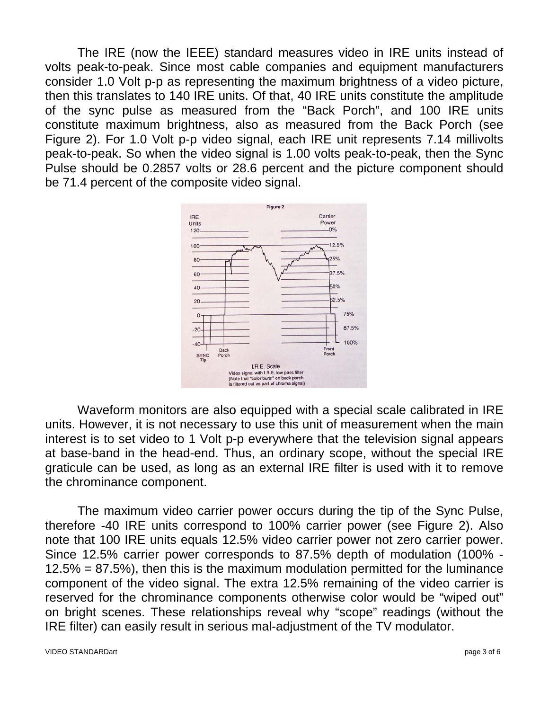The IRE (now the IEEE) standard measures video in IRE units instead of volts peak-to-peak. Since most cable companies and equipment manufacturers consider 1.0 Volt p-p as representing the maximum brightness of a video picture, then this translates to 140 IRE units. Of that, 40 IRE units constitute the amplitude of the sync pulse as measured from the "Back Porch", and 100 IRE units constitute maximum brightness, also as measured from the Back Porch (see Figure 2). For 1.0 Volt p-p video signal, each IRE unit represents 7.14 millivolts peak-to-peak. So when the video signal is 1.00 volts peak-to-peak, then the Sync Pulse should be 0.2857 volts or 28.6 percent and the picture component should be 71.4 percent of the composite video signal.



Waveform monitors are also equipped with a special scale calibrated in IRE units. However, it is not necessary to use this unit of measurement when the main interest is to set video to 1 Volt p-p everywhere that the television signal appears at base-band in the head-end. Thus, an ordinary scope, without the special IRE graticule can be used, as long as an external IRE filter is used with it to remove the chrominance component.

The maximum video carrier power occurs during the tip of the Sync Pulse, therefore -40 IRE units correspond to 100% carrier power (see Figure 2). Also note that 100 IRE units equals 12.5% video carrier power not zero carrier power. Since 12.5% carrier power corresponds to 87.5% depth of modulation (100% - 12.5% = 87.5%), then this is the maximum modulation permitted for the luminance component of the video signal. The extra 12.5% remaining of the video carrier is reserved for the chrominance components otherwise color would be "wiped out" on bright scenes. These relationships reveal why "scope" readings (without the IRE filter) can easily result in serious mal-adjustment of the TV modulator.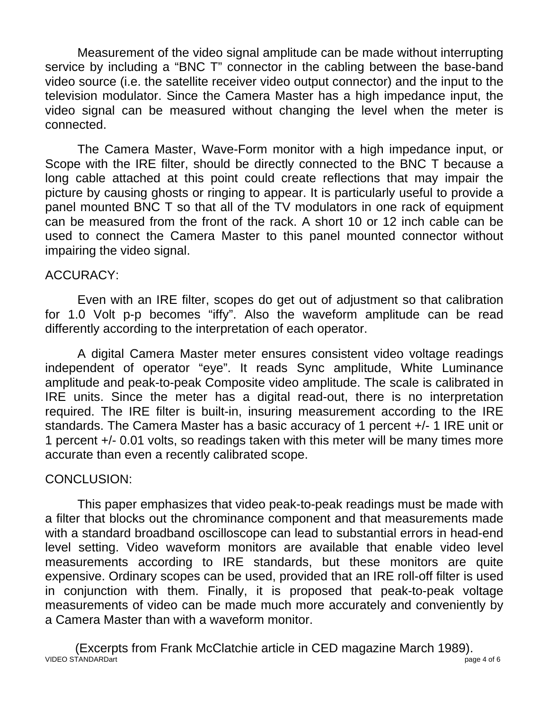Measurement of the video signal amplitude can be made without interrupting service by including a "BNC T" connector in the cabling between the base-band video source (i.e. the satellite receiver video output connector) and the input to the television modulator. Since the Camera Master has a high impedance input, the video signal can be measured without changing the level when the meter is connected.

 The Camera Master, Wave-Form monitor with a high impedance input, or Scope with the IRE filter, should be directly connected to the BNC T because a long cable attached at this point could create reflections that may impair the picture by causing ghosts or ringing to appear. It is particularly useful to provide a panel mounted BNC T so that all of the TV modulators in one rack of equipment can be measured from the front of the rack. A short 10 or 12 inch cable can be used to connect the Camera Master to this panel mounted connector without impairing the video signal.

## ACCURACY:

 Even with an IRE filter, scopes do get out of adjustment so that calibration for 1.0 Volt p-p becomes "iffy". Also the waveform amplitude can be read differently according to the interpretation of each operator.

 A digital Camera Master meter ensures consistent video voltage readings independent of operator "eye". It reads Sync amplitude, White Luminance amplitude and peak-to-peak Composite video amplitude. The scale is calibrated in IRE units. Since the meter has a digital read-out, there is no interpretation required. The IRE filter is built-in, insuring measurement according to the IRE standards. The Camera Master has a basic accuracy of 1 percent +/- 1 IRE unit or 1 percent +/- 0.01 volts, so readings taken with this meter will be many times more accurate than even a recently calibrated scope.

# CONCLUSION:

 This paper emphasizes that video peak-to-peak readings must be made with a filter that blocks out the chrominance component and that measurements made with a standard broadband oscilloscope can lead to substantial errors in head-end level setting. Video waveform monitors are available that enable video level measurements according to IRE standards, but these monitors are quite expensive. Ordinary scopes can be used, provided that an IRE roll-off filter is used in conjunction with them. Finally, it is proposed that peak-to-peak voltage measurements of video can be made much more accurately and conveniently by a Camera Master than with a waveform monitor.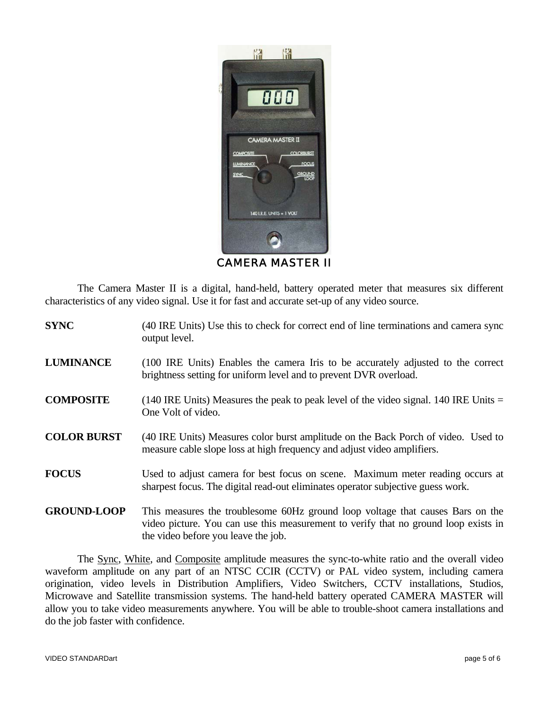

CAMERA MASTER II

The Camera Master II is a digital, hand-held, battery operated meter that measures six different characteristics of any video signal. Use it for fast and accurate set-up of any video source.

| <b>SYNC</b>        | (40 IRE Units) Use this to check for correct end of line terminations and camera sync<br>output level.                                                                                                       |
|--------------------|--------------------------------------------------------------------------------------------------------------------------------------------------------------------------------------------------------------|
| <b>LUMINANCE</b>   | (100 IRE Units) Enables the camera Iris to be accurately adjusted to the correct<br>brightness setting for uniform level and to prevent DVR overload.                                                        |
| <b>COMPOSITE</b>   | $(140 \text{ IRE Units})$ Measures the peak to peak level of the video signal. 140 IRE Units =<br>One Volt of video.                                                                                         |
| <b>COLOR BURST</b> | (40 IRE Units) Measures color burst amplitude on the Back Porch of video. Used to<br>measure cable slope loss at high frequency and adjust video amplifiers.                                                 |
| <b>FOCUS</b>       | Used to adjust camera for best focus on scene. Maximum meter reading occurs at<br>sharpest focus. The digital read-out eliminates operator subjective guess work.                                            |
| <b>GROUND-LOOP</b> | This measures the troublesome 60Hz ground loop voltage that causes Bars on the<br>video picture. You can use this measurement to verify that no ground loop exists in<br>the video before you leave the job. |

 The Sync, White, and Composite amplitude measures the sync-to-white ratio and the overall video waveform amplitude on any part of an NTSC CCIR (CCTV) or PAL video system, including camera origination, video levels in Distribution Amplifiers, Video Switchers, CCTV installations, Studios, Microwave and Satellite transmission systems. The hand-held battery operated CAMERA MASTER will allow you to take video measurements anywhere. You will be able to trouble-shoot camera installations and do the job faster with confidence.